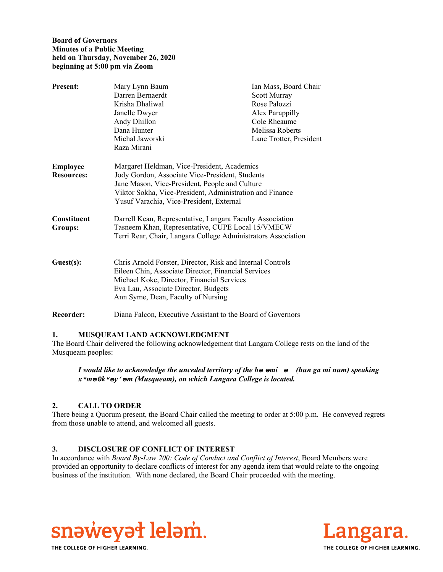#### **Board of Governors Minutes of a Public Meeting held on Thursday, November 26, 2020 beginning at 5:00 pm via Zoom**

| <b>Present:</b>               | Mary Lynn Baum                                                                                                                                   | Ian Mass, Board Chair   |
|-------------------------------|--------------------------------------------------------------------------------------------------------------------------------------------------|-------------------------|
|                               | Darren Bernaerdt                                                                                                                                 | Scott Murray            |
|                               | Krisha Dhaliwal                                                                                                                                  | Rose Palozzi            |
|                               | Janelle Dwyer                                                                                                                                    | Alex Parappilly         |
|                               | Andy Dhillon                                                                                                                                     | Cole Rheaume            |
|                               | Dana Hunter                                                                                                                                      | Melissa Roberts         |
|                               | Michal Jaworski                                                                                                                                  | Lane Trotter, President |
|                               | Raza Mirani                                                                                                                                      |                         |
| Employee<br><b>Resources:</b> | Margaret Heldman, Vice-President, Academics<br>Jody Gordon, Associate Vice-President, Students<br>Jane Mason, Vice-President, People and Culture |                         |
|                               | Viktor Sokha, Vice-President, Administration and Finance<br>Yusuf Varachia, Vice-President, External                                             |                         |
| Constituent                   | Darrell Kean, Representative, Langara Faculty Association                                                                                        |                         |
| <b>Groups:</b>                | Tasneem Khan, Representative, CUPE Local 15/VMECW                                                                                                |                         |
|                               | Terri Rear, Chair, Langara College Administrators Association                                                                                    |                         |
|                               |                                                                                                                                                  |                         |
| Guest(s):                     | Chris Arnold Forster, Director, Risk and Internal Controls<br>Eileen Chin, Associate Director, Financial Services                                |                         |
|                               | Michael Koke, Director, Financial Services                                                                                                       |                         |
|                               | Eva Lau, Associate Director, Budgets                                                                                                             |                         |
|                               | Ann Syme, Dean, Faculty of Nursing                                                                                                               |                         |
| <b>Recorder:</b>              | Diana Falcon, Executive Assistant to the Board of Governors                                                                                      |                         |

### **1. MUSQUEAM LAND ACKNOWLEDGMENT**

The Board Chair delivered the following acknowledgement that Langara College rests on the land of the Musqueam peoples:

*I would like to acknowledge the unceded territory of the hә әmiә (hun ga mi num) speaking xʷmәθkʷәy̓әm (Musqueam), on which Langara College is located.*

### **2. CALL TO ORDER**

There being a Quorum present, the Board Chair called the meeting to order at 5:00 p.m. He conveyed regrets from those unable to attend, and welcomed all guests.

### **3. DISCLOSURE OF CONFLICT OF INTEREST**

In accordance with *Board By-Law 200: Code of Conduct and Conflict of Interest*, Board Members were provided an opportunity to declare conflicts of interest for any agenda item that would relate to the ongoing business of the institution. With none declared, the Board Chair proceeded with the meeting.





THE COLLEGE OF HIGHER LEARNING.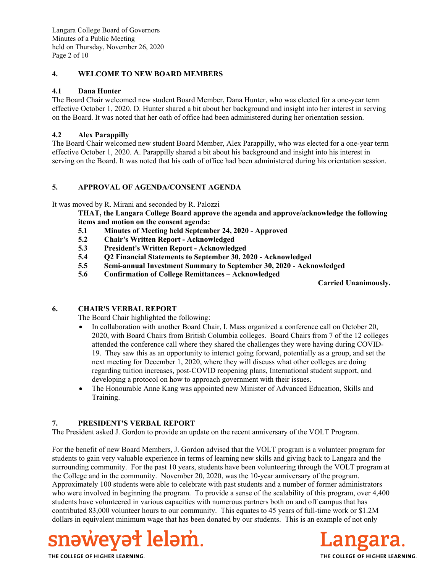Langara College Board of Governors Minutes of a Public Meeting held on Thursday, November 26, 2020 Page 2 of 10

### **4. WELCOME TO NEW BOARD MEMBERS**

## **4.1 Dana Hunter**

The Board Chair welcomed new student Board Member, Dana Hunter, who was elected for a one-year term effective October 1, 2020. D. Hunter shared a bit about her background and insight into her interest in serving on the Board. It was noted that her oath of office had been administered during her orientation session.

# **4.2 Alex Parappilly**

The Board Chair welcomed new student Board Member, Alex Parappilly, who was elected for a one-year term effective October 1, 2020. A. Parappilly shared a bit about his background and insight into his interest in serving on the Board. It was noted that his oath of office had been administered during his orientation session.

# **5. APPROVAL OF AGENDA/CONSENT AGENDA**

It was moved by R. Mirani and seconded by R. Palozzi

**THAT, the Langara College Board approve the agenda and approve/acknowledge the following items and motion on the consent agenda:**

- **5.1 Minutes of Meeting held September 24, 2020 Approved**
- **5.2 Chair's Written Report Acknowledged**
- **5.3 President's Written Report Acknowledged**
- **5.4 Q2 Financial Statements to September 30, 2020 Acknowledged**
- **5.5 Semi-annual Investment Summary to September 30, 2020 Acknowledged**
- **5.6 Confirmation of College Remittances Acknowledged**

**Carried Unanimously.** 

### **6. CHAIR'S VERBAL REPORT**

The Board Chair highlighted the following:

- In collaboration with another Board Chair, I. Mass organized a conference call on October 20, 2020, with Board Chairs from British Columbia colleges. Board Chairs from 7 of the 12 colleges attended the conference call where they shared the challenges they were having during COVID-19. They saw this as an opportunity to interact going forward, potentially as a group, and set the next meeting for December 1, 2020, where they will discuss what other colleges are doing regarding tuition increases, post-COVID reopening plans, International student support, and developing a protocol on how to approach government with their issues.
- The Honourable Anne Kang was appointed new Minister of Advanced Education, Skills and Training.

# **7. PRESIDENT'S VERBAL REPORT**

The President asked J. Gordon to provide an update on the recent anniversary of the VOLT Program.

For the benefit of new Board Members, J. Gordon advised that the VOLT program is a volunteer program for students to gain very valuable experience in terms of learning new skills and giving back to Langara and the surrounding community. For the past 10 years, students have been volunteering through the VOLT program at the College and in the community. November 20, 2020, was the 10-year anniversary of the program. Approximately 100 students were able to celebrate with past students and a number of former administrators who were involved in beginning the program. To provide a sense of the scalability of this program, over 4,400 students have volunteered in various capacities with numerous partners both on and off campus that has contributed 83,000 volunteer hours to our community. This equates to 45 years of full-time work or \$1.2M dollars in equivalent minimum wage that has been donated by our students. This is an example of not only



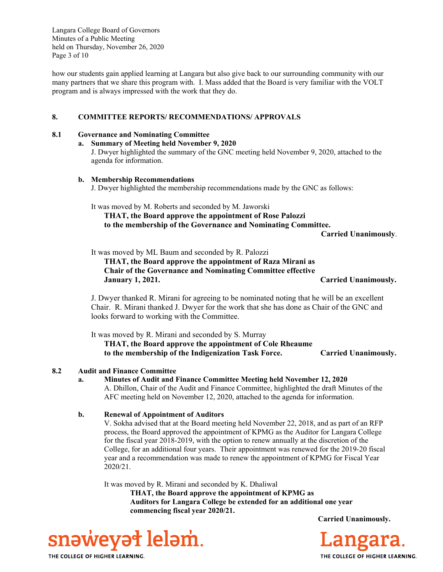Langara College Board of Governors Minutes of a Public Meeting held on Thursday, November 26, 2020 Page 3 of 10

how our students gain applied learning at Langara but also give back to our surrounding community with our many partners that we share this program with. I. Mass added that the Board is very familiar with the VOLT program and is always impressed with the work that they do.

#### **8. COMMITTEE REPORTS/ RECOMMENDATIONS/ APPROVALS**

#### **8.1 Governance and Nominating Committee**

#### **a. Summary of Meeting held November 9, 2020**

J. Dwyer highlighted the summary of the GNC meeting held November 9, 2020, attached to the agenda for information.

#### **b. Membership Recommendations**

J. Dwyer highlighted the membership recommendations made by the GNC as follows:

It was moved by M. Roberts and seconded by M. Jaworski

**THAT, the Board approve the appointment of Rose Palozzi to the membership of the Governance and Nominating Committee.** 

**Carried Unanimously**.

It was moved by ML Baum and seconded by R. Palozzi

 **THAT, the Board approve the appointment of Raza Mirani as Chair of the Governance and Nominating Committee effective January 1, 2021. Carried Unanimously.** 

J. Dwyer thanked R. Mirani for agreeing to be nominated noting that he will be an excellent Chair. R. Mirani thanked J. Dwyer for the work that she has done as Chair of the GNC and looks forward to working with the Committee.

 It was moved by R. Mirani and seconded by S. Murray **THAT, the Board approve the appointment of Cole Rheaume to the membership of the Indigenization Task Force. Carried Unanimously.** 

#### **8.2 Audit and Finance Committee**

**a. Minutes of Audit and Finance Committee Meeting held November 12, 2020** A. Dhillon, Chair of the Audit and Finance Committee, highlighted the draft Minutes of the AFC meeting held on November 12, 2020, attached to the agenda for information.

#### **b. Renewal of Appointment of Auditors**

V. Sokha advised that at the Board meeting held November 22, 2018, and as part of an RFP process, the Board approved the appointment of KPMG as the Auditor for Langara College for the fiscal year 2018-2019, with the option to renew annually at the discretion of the College, for an additional four years. Their appointment was renewed for the 2019-20 fiscal year and a recommendation was made to renew the appointment of KPMG for Fiscal Year 2020/21.

It was moved by R. Mirani and seconded by K. Dhaliwal

**THAT, the Board approve the appointment of KPMG as Auditors for Langara College be extended for an additional one year commencing fiscal year 2020/21.**





snaweyat lelam. THE COLLEGE OF HIGHER LEARNING.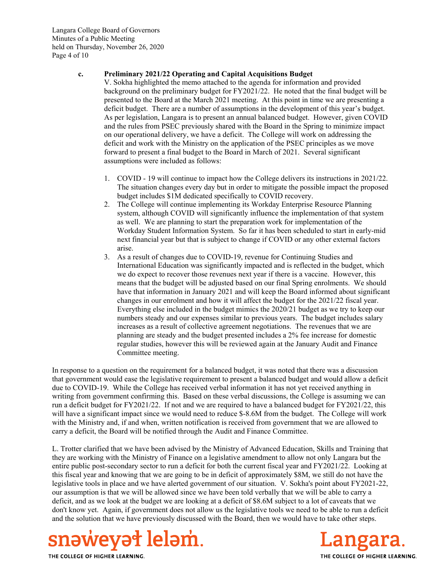Langara College Board of Governors Minutes of a Public Meeting held on Thursday, November 26, 2020 Page 4 of 10

#### **c. Preliminary 2021/22 Operating and Capital Acquisitions Budget**

V. Sokha highlighted the memo attached to the agenda for information and provided background on the preliminary budget for FY2021/22. He noted that the final budget will be presented to the Board at the March 2021 meeting. At this point in time we are presenting a deficit budget. There are a number of assumptions in the development of this year's budget. As per legislation, Langara is to present an annual balanced budget. However, given COVID and the rules from PSEC previously shared with the Board in the Spring to minimize impact on our operational delivery, we have a deficit. The College will work on addressing the deficit and work with the Ministry on the application of the PSEC principles as we move forward to present a final budget to the Board in March of 2021. Several significant assumptions were included as follows:

- 1. COVID 19 will continue to impact how the College delivers its instructions in 2021/22. The situation changes every day but in order to mitigate the possible impact the proposed budget includes \$1M dedicated specifically to COVID recovery.
- 2. The College will continue implementing its Workday Enterprise Resource Planning system, although COVID will significantly influence the implementation of that system as well. We are planning to start the preparation work for implementation of the Workday Student Information System. So far it has been scheduled to start in early-mid next financial year but that is subject to change if COVID or any other external factors arise.
- 3. As a result of changes due to COVID-19, revenue for Continuing Studies and International Education was significantly impacted and is reflected in the budget, which we do expect to recover those revenues next year if there is a vaccine. However, this means that the budget will be adjusted based on our final Spring enrolments. We should have that information in January 2021 and will keep the Board informed about significant changes in our enrolment and how it will affect the budget for the 2021/22 fiscal year. Everything else included in the budget mimics the 2020/21 budget as we try to keep our numbers steady and our expenses similar to previous years. The budget includes salary increases as a result of collective agreement negotiations. The revenues that we are planning are steady and the budget presented includes a 2% fee increase for domestic regular studies, however this will be reviewed again at the January Audit and Finance Committee meeting.

In response to a question on the requirement for a balanced budget, it was noted that there was a discussion that government would ease the legislative requirement to present a balanced budget and would allow a deficit due to COVID-19. While the College has received verbal information it has not yet received anything in writing from government confirming this. Based on these verbal discussions, the College is assuming we can run a deficit budget for FY2021/22. If not and we are required to have a balanced budget for FY2021/22, this will have a significant impact since we would need to reduce \$-8.6M from the budget. The College will work with the Ministry and, if and when, written notification is received from government that we are allowed to carry a deficit, the Board will be notified through the Audit and Finance Committee.

L. Trotter clarified that we have been advised by the Ministry of Advanced Education, Skills and Training that they are working with the Ministry of Finance on a legislative amendment to allow not only Langara but the entire public post-secondary sector to run a deficit for both the current fiscal year and FY2021/22. Looking at this fiscal year and knowing that we are going to be in deficit of approximately \$8M, we still do not have the legislative tools in place and we have alerted government of our situation. V. Sokha's point about FY2021-22, our assumption is that we will be allowed since we have been told verbally that we will be able to carry a deficit, and as we look at the budget we are looking at a deficit of \$8.6M subject to a lot of caveats that we don't know yet. Again, if government does not allow us the legislative tools we need to be able to run a deficit and the solution that we have previously discussed with the Board, then we would have to take other steps.



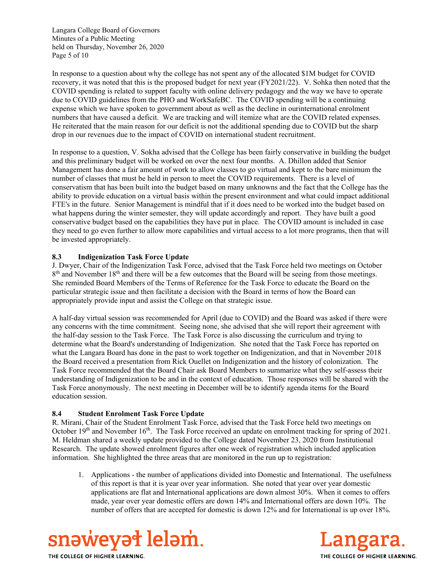Langara College Board of Governors Minutes of a Public Meeting held on Thursday, November 26, 2020 Page 5 of 10

In response to a question about why the college has not spent any of the allocated \$1M budget for COVID recovery, it was noted that this is the proposed budget for next year (FY2021/22). V. Sohka then noted that the COVID spending is related to support faculty with online delivery pedagogy and the way we have to operate due to COVID guidelines from the PHO and WorkSafeBC. The COVID spending will be a continuing expense which we have spoken to government about as well as the decline in ourinternational enrolment numbers that have caused a deficit. We are tracking and will itemize what are the COVID related expenses. He reiterated that the main reason for our deficit is not the additional spending due to COVID but the sharp drop in our revenues due to the impact of COVID on international student recruitment.

In response to a question, V. Sokha advised that the College has been fairly conservative in building the budget and this preliminary budget will be worked on over the next four months. A. Dhillon added that Senior Management has done a fair amount of work to allow classes to go virtual and kept to the bare minimum the number of classes that must be held in person to meet the COVID requirements. There is a level of conservatism that has been built into the budget based on many unknowns and the fact that the College has the ability to provide education on a virtual basis within the present environment and what could impact additional FTE's in the future. Senior Management is mindful that if it does need to be worked into the budget based on what happens during the winter semester, they will update accordingly and report. They have built a good conservative budget based on the capabilities they have put in place. The COVID amount is included in case they need to go even further to allow more capabilities and virtual access to a lot more programs, then that will be invested appropriately.

### **8.3 Indigenization Task Force Update**

J. Dwyer, Chair of the Indigenization Task Force, advised that the Task Force held two meetings on October  $8<sup>th</sup>$  and November 18<sup>th</sup> and there will be a few outcomes that the Board will be seeing from those meetings. She reminded Board Members of the Terms of Reference for the Task Force to educate the Board on the particular strategic issue and then facilitate a decision with the Board in terms of how the Board can appropriately provide input and assist the College on that strategic issue.

A half-day virtual session was recommended for April (due to COVID) and the Board was asked if there were any concerns with the time commitment. Seeing none, she advised that she will report their agreement with the half-day session to the Task Force. The Task Force is also discussing the curriculum and trying to determine what the Board's understanding of Indigenization. She noted that the Task Force has reported on what the Langara Board has done in the past to work together on Indigenization, and that in November 2018 the Board received a presentation from Rick Ouellet on Indigenization and the history of colonization. The Task Force recommended that the Board Chair ask Board Members to summarize what they self-assess their understanding of Indigenization to be and in the context of education. Those responses will be shared with the Task Force anonymously. The next meeting in December will be to identify agenda items for the Board education session.

#### **8.4 Student Enrolment Task Force Update**

R. Mirani, Chair of the Student Enrolment Task Force, advised that the Task Force held two meetings on October 19<sup>th</sup> and November 16<sup>th</sup>. The Task Force received an update on enrolment tracking for spring of 2021. M. Heldman shared a weekly update provided to the College dated November 23, 2020 from Institutional Research. The update showed enrolment figures after one week of registration which included application information. She highlighted the three areas that are monitored in the run up to registration:

1. Applications - the number of applications divided into Domestic and International. The usefulness of this report is that it is year over year information. She noted that year over year domestic applications are flat and International applications are down almost 30%. When it comes to offers made, year over year domestic offers are down 14% and International offers are down 10%. The number of offers that are accepted for domestic is down 12% and for International is up over 18%.



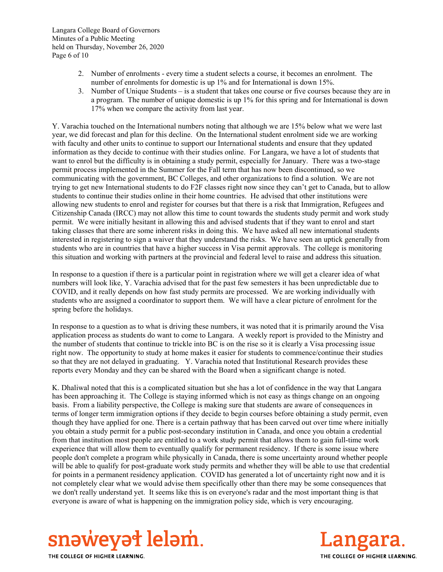- 2. Number of enrolments every time a student selects a course, it becomes an enrolment. The number of enrolments for domestic is up 1% and for International is down 15%.
- 3. Number of Unique Students is a student that takes one course or five courses because they are in a program. The number of unique domestic is up 1% for this spring and for International is down 17% when we compare the activity from last year.

Y. Varachia touched on the International numbers noting that although we are 15% below what we were last year, we did forecast and plan for this decline. On the International student enrolment side we are working with faculty and other units to continue to support our International students and ensure that they updated information as they decide to continue with their studies online. For Langara, we have a lot of students that want to enrol but the difficulty is in obtaining a study permit, especially for January. There was a two-stage permit process implemented in the Summer for the Fall term that has now been discontinued, so we communicating with the government, BC Colleges, and other organizations to find a solution. We are not trying to get new International students to do F2F classes right now since they can't get to Canada, but to allow students to continue their studies online in their home countries. He advised that other institutions were allowing new students to enrol and register for courses but that there is a risk that Immigration, Refugees and Citizenship Canada (IRCC) may not allow this time to count towards the students study permit and work study permit. We were initially hesitant in allowing this and advised students that if they want to enrol and start taking classes that there are some inherent risks in doing this. We have asked all new international students interested in registering to sign a waiver that they understand the risks. We have seen an uptick generally from students who are in countries that have a higher success in Visa permit approvals. The college is monitoring this situation and working with partners at the provincial and federal level to raise and address this situation.

In response to a question if there is a particular point in registration where we will get a clearer idea of what numbers will look like, Y. Varachia advised that for the past few semesters it has been unpredictable due to COVID, and it really depends on how fast study permits are processed. We are working individually with students who are assigned a coordinator to support them. We will have a clear picture of enrolment for the spring before the holidays.

In response to a question as to what is driving these numbers, it was noted that it is primarily around the Visa application process as students do want to come to Langara. A weekly report is provided to the Ministry and the number of students that continue to trickle into BC is on the rise so it is clearly a Visa processing issue right now. The opportunity to study at home makes it easier for students to commence/continue their studies so that they are not delayed in graduating. Y. Varachia noted that Institutional Research provides these reports every Monday and they can be shared with the Board when a significant change is noted.

K. Dhaliwal noted that this is a complicated situation but she has a lot of confidence in the way that Langara has been approaching it. The College is staying informed which is not easy as things change on an ongoing basis. From a liability perspective, the College is making sure that students are aware of consequences in terms of longer term immigration options if they decide to begin courses before obtaining a study permit, even though they have applied for one. There is a certain pathway that has been carved out over time where initially you obtain a study permit for a public post-secondary institution in Canada, and once you obtain a credential from that institution most people are entitled to a work study permit that allows them to gain full-time work experience that will allow them to eventually qualify for permanent residency. If there is some issue where people don't complete a program while physically in Canada, there is some uncertainty around whether people will be able to qualify for post-graduate work study permits and whether they will be able to use that credential for points in a permanent residency application. COVID has generated a lot of uncertainty right now and it is not completely clear what we would advise them specifically other than there may be some consequences that we don't really understand yet. It seems like this is on everyone's radar and the most important thing is that everyone is aware of what is happening on the immigration policy side, which is very encouraging.



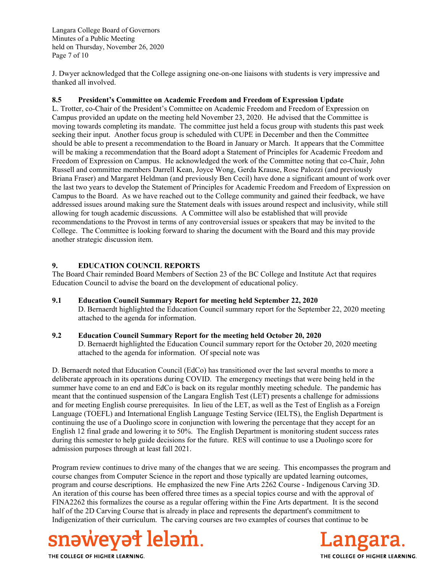Langara College Board of Governors Minutes of a Public Meeting held on Thursday, November 26, 2020 Page 7 of 10

J. Dwyer acknowledged that the College assigning one-on-one liaisons with students is very impressive and thanked all involved.

#### **8.5 President's Committee on Academic Freedom and Freedom of Expression Update**

L. Trotter, co-Chair of the President's Committee on Academic Freedom and Freedom of Expression on Campus provided an update on the meeting held November 23, 2020. He advised that the Committee is moving towards completing its mandate. The committee just held a focus group with students this past week seeking their input. Another focus group is scheduled with CUPE in December and then the Committee should be able to present a recommendation to the Board in January or March. It appears that the Committee will be making a recommendation that the Board adopt a Statement of Principles for Academic Freedom and Freedom of Expression on Campus. He acknowledged the work of the Committee noting that co-Chair, John Russell and committee members Darrell Kean, Joyce Wong, Gerda Krause, Rose Palozzi (and previously Briana Fraser) and Margaret Heldman (and previously Ben Cecil) have done a significant amount of work over the last two years to develop the Statement of Principles for Academic Freedom and Freedom of Expression on Campus to the Board. As we have reached out to the College community and gained their feedback, we have addressed issues around making sure the Statement deals with issues around respect and inclusivity, while still allowing for tough academic discussions. A Committee will also be established that will provide recommendations to the Provost in terms of any controversial issues or speakers that may be invited to the College. The Committee is looking forward to sharing the document with the Board and this may provide another strategic discussion item.

### **9. EDUCATION COUNCIL REPORTS**

The Board Chair reminded Board Members of Section 23 of the BC College and Institute Act that requires Education Council to advise the board on the development of educational policy.

**9.1 Education Council Summary Report for meeting held September 22, 2020** D. Bernaerdt highlighted the Education Council summary report for the September 22, 2020 meeting attached to the agenda for information.

### **9.2 Education Council Summary Report for the meeting held October 20, 2020**

D. Bernaerdt highlighted the Education Council summary report for the October 20, 2020 meeting attached to the agenda for information. Of special note was

D. Bernaerdt noted that Education Council (EdCo) has transitioned over the last several months to more a deliberate approach in its operations during COVID. The emergency meetings that were being held in the summer have come to an end and EdCo is back on its regular monthly meeting schedule. The pandemic has meant that the continued suspension of the Langara English Test (LET) presents a challenge for admissions and for meeting English course prerequisites. In lieu of the LET, as well as the Test of English as a Foreign Language (TOEFL) and International English Language Testing Service (IELTS), the English Department is continuing the use of a Duolingo score in conjunction with lowering the percentage that they accept for an English 12 final grade and lowering it to 50%. The English Department is monitoring student success rates during this semester to help guide decisions for the future. RES will continue to use a Duolingo score for admission purposes through at least fall 2021.

Program review continues to drive many of the changes that we are seeing. This encompasses the program and course changes from Computer Science in the report and those typically are updated learning outcomes, program and course descriptions. He emphasized the new Fine Arts 2262 Course - Indigenous Carving 3D. An iteration of this course has been offered three times as a special topics course and with the approval of FINA2262 this formalizes the course as a regular offering within the Fine Arts department. It is the second half of the 2D Carving Course that is already in place and represents the department's commitment to Indigenization of their curriculum. The carving courses are two examples of courses that continue to be



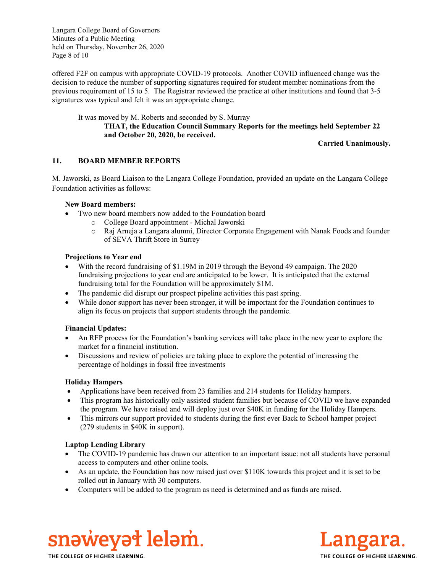Langara College Board of Governors Minutes of a Public Meeting held on Thursday, November 26, 2020 Page 8 of 10

offered F2F on campus with appropriate COVID-19 protocols. Another COVID influenced change was the decision to reduce the number of supporting signatures required for student member nominations from the previous requirement of 15 to 5. The Registrar reviewed the practice at other institutions and found that 3-5 signatures was typical and felt it was an appropriate change.

#### It was moved by M. Roberts and seconded by S. Murray **THAT, the Education Council Summary Reports for the meetings held September 22 and October 20, 2020, be received.**

**Carried Unanimously.**

# **11. BOARD MEMBER REPORTS**

M. Jaworski, as Board Liaison to the Langara College Foundation, provided an update on the Langara College Foundation activities as follows:

#### **New Board members:**

- Two new board members now added to the Foundation board
	- o College Board appointment Michal Jaworski
	- o Raj Arneja a Langara alumni, Director Corporate Engagement with Nanak Foods and founder of SEVA Thrift Store in Surrey

#### **Projections to Year end**

- With the record fundraising of \$1.19M in 2019 through the Beyond 49 campaign. The 2020 fundraising projections to year end are anticipated to be lower. It is anticipated that the external fundraising total for the Foundation will be approximately \$1M.
- The pandemic did disrupt our prospect pipeline activities this past spring.
- While donor support has never been stronger, it will be important for the Foundation continues to align its focus on projects that support students through the pandemic.

### **Financial Updates:**

- An RFP process for the Foundation's banking services will take place in the new year to explore the market for a financial institution.
- Discussions and review of policies are taking place to explore the potential of increasing the percentage of holdings in fossil free investments

### **Holiday Hampers**

- Applications have been received from 23 families and 214 students for Holiday hampers.
- This program has historically only assisted student families but because of COVID we have expanded the program. We have raised and will deploy just over \$40K in funding for the Holiday Hampers.
- This mirrors our support provided to students during the first ever Back to School hamper project (279 students in \$40K in support).

### **Laptop Lending Library**

- The COVID-19 pandemic has drawn our attention to an important issue: not all students have personal access to computers and other online tools.
- As an update, the Foundation has now raised just over \$110K towards this project and it is set to be rolled out in January with 30 computers.
- Computers will be added to the program as need is determined and as funds are raised.



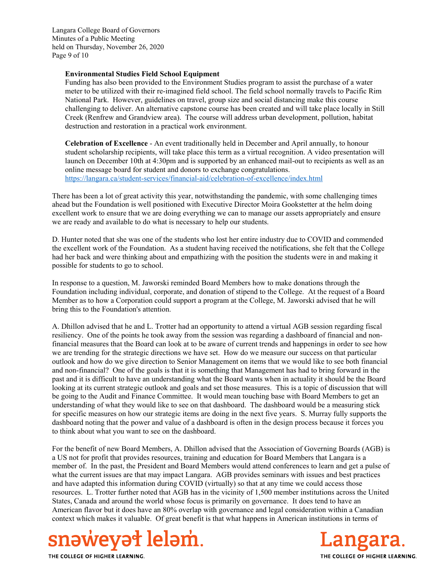Langara College Board of Governors Minutes of a Public Meeting held on Thursday, November 26, 2020 Page 9 of 10

#### **Environmental Studies Field School Equipment**

Funding has also been provided to the Environment Studies program to assist the purchase of a water meter to be utilized with their re-imagined field school. The field school normally travels to Pacific Rim National Park. However, guidelines on travel, group size and social distancing make this course challenging to deliver. An alternative capstone course has been created and will take place locally in Still Creek (Renfrew and Grandview area). The course will address urban development, pollution, habitat destruction and restoration in a practical work environment.

**Celebration of Excellence** - An event traditionally held in December and April annually, to honour student scholarship recipients, will take place this term as a virtual recognition. A video presentation will launch on December 10th at 4:30pm and is supported by an enhanced mail-out to recipients as well as an online message board for student and donors to exchange congratulations. https://langara.ca/student-services/financial-aid/celebration-of-excellence/index.html

There has been a lot of great activity this year, notwithstanding the pandemic, with some challenging times ahead but the Foundation is well positioned with Executive Director Moira Gookstetter at the helm doing excellent work to ensure that we are doing everything we can to manage our assets appropriately and ensure we are ready and available to do what is necessary to help our students.

D. Hunter noted that she was one of the students who lost her entire industry due to COVID and commended the excellent work of the Foundation. As a student having received the notifications, she felt that the College had her back and were thinking about and empathizing with the position the students were in and making it possible for students to go to school.

In response to a question, M. Jaworski reminded Board Members how to make donations through the Foundation including individual, corporate, and donation of stipend to the College. At the request of a Board Member as to how a Corporation could support a program at the College, M. Jaworski advised that he will bring this to the Foundation's attention.

A. Dhillon advised that he and L. Trotter had an opportunity to attend a virtual AGB session regarding fiscal resiliency. One of the points he took away from the session was regarding a dashboard of financial and nonfinancial measures that the Board can look at to be aware of current trends and happenings in order to see how we are trending for the strategic directions we have set. How do we measure our success on that particular outlook and how do we give direction to Senior Management on items that we would like to see both financial and non-financial? One of the goals is that it is something that Management has had to bring forward in the past and it is difficult to have an understanding what the Board wants when in actuality it should be the Board looking at its current strategic outlook and goals and set those measures. This is a topic of discussion that will be going to the Audit and Finance Committee. It would mean touching base with Board Members to get an understanding of what they would like to see on that dashboard. The dashboard would be a measuring stick for specific measures on how our strategic items are doing in the next five years. S. Murray fully supports the dashboard noting that the power and value of a dashboard is often in the design process because it forces you to think about what you want to see on the dashboard.

For the benefit of new Board Members, A. Dhillon advised that the Association of Governing Boards (AGB) is a US not for profit that provides resources, training and education for Board Members that Langara is a member of. In the past, the President and Board Members would attend conferences to learn and get a pulse of what the current issues are that may impact Langara. AGB provides seminars with issues and best practices and have adapted this information during COVID (virtually) so that at any time we could access those resources. L. Trotter further noted that AGB has in the vicinity of 1,500 member institutions across the United States, Canada and around the world whose focus is primarily on governance. It does tend to have an American flavor but it does have an 80% overlap with governance and legal consideration within a Canadian context which makes it valuable. Of great benefit is that what happens in American institutions in terms of